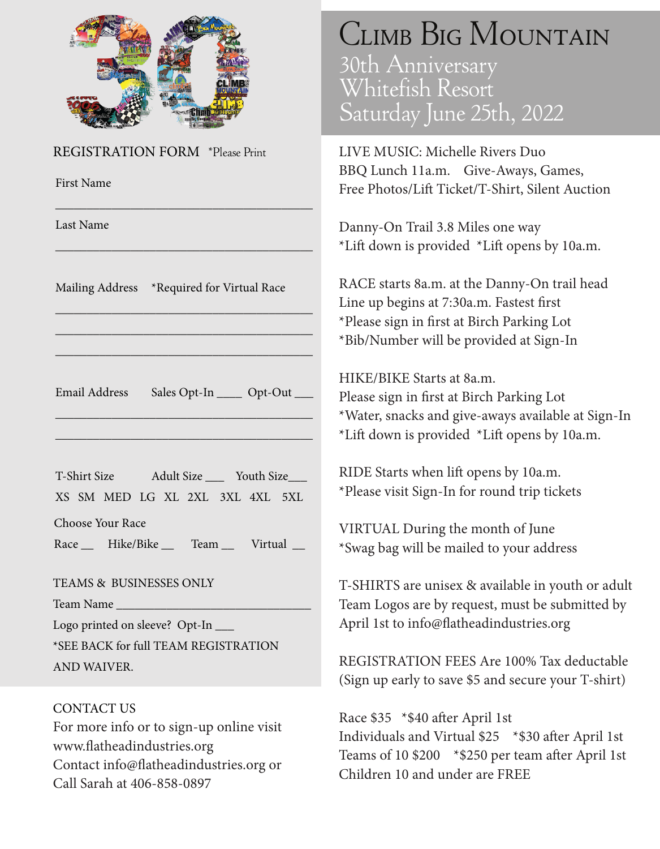

REGISTRATION FORM \*Please Print

First Name

Last Name

Mailing Address \*Required for Virtual Race

\_\_\_\_\_\_\_\_\_\_\_\_\_\_\_\_\_\_\_\_\_\_\_\_\_\_\_\_\_\_\_\_\_\_\_\_\_\_\_\_\_

\_\_\_\_\_\_\_\_\_\_\_\_\_\_\_\_\_\_\_\_\_\_\_\_\_\_\_\_\_\_\_\_\_\_\_\_\_\_\_\_\_

\_\_\_\_\_\_\_\_\_\_\_\_\_\_\_\_\_\_\_\_\_\_\_\_\_\_\_\_\_\_\_\_\_\_\_\_\_\_\_\_\_

\_\_\_\_\_\_\_\_\_\_\_\_\_\_\_\_\_\_\_\_\_\_\_\_\_\_\_\_\_\_\_\_\_\_\_\_\_\_\_\_\_

\_\_\_\_\_\_\_\_\_\_\_\_\_\_\_\_\_\_\_\_\_\_\_\_\_\_\_\_\_\_\_\_\_\_\_\_\_\_\_\_\_

Email Address Sales Opt-In \_\_\_\_\_ Opt-Out \_\_\_

\_\_\_\_\_\_\_\_\_\_\_\_\_\_\_\_\_\_\_\_\_\_\_\_\_\_\_\_\_\_\_\_\_\_\_\_\_\_\_\_\_

\_\_\_\_\_\_\_\_\_\_\_\_\_\_\_\_\_\_\_\_\_\_\_\_\_\_\_\_\_\_\_\_\_\_\_\_\_\_\_\_\_

T-Shirt Size XS SM MED LG XL 2XL 3XL 4XL 5XL Adult Size \_\_\_ Youth Size\_\_\_

Choose Your Race

Race \_\_ Hike/Bike \_\_ Team \_\_ Virtual \_\_

TEAMS & BUSINESSES ONLY

Team Name

Logo printed on sleeve? Opt-In \_\_\_ \*SEE BACK for full TEAM REGISTRATION AND WAIVER.

CONTACT US For more info or to sign-up online visit www.flatheadindustries.org Contact info@flatheadindustries.org or Call Sarah at 406-858-0897

## Climb Big Mountain

30th Anniversary Whitefish Resort Saturday June 25th, 2022

LIVE MUSIC: Michelle Rivers Duo BBQ Lunch 11a.m. Give-Aways, Games, Free Photos/Lift Ticket/T-Shirt, Silent Auction

Danny-On Trail 3.8 Miles one way \*Lift down is provided \*Lift opens by 10a.m.

RACE starts 8a.m. at the Danny-On trail head Line up begins at 7:30a.m. Fastest first \*Please sign in first at Birch Parking Lot \*Bib/Number will be provided at Sign-In

HIKE/BIKE Starts at 8a.m.

Please sign in first at Birch Parking Lot \*Water, snacks and give-aways available at Sign-In \*Lift down is provided \*Lift opens by 10a.m.

RIDE Starts when lift opens by 10a.m. \*Please visit Sign-In for round trip tickets

VIRTUAL During the month of June \*Swag bag will be mailed to your address

T-SHIRTS are unisex & available in youth or adult Team Logos are by request, must be submitted by April 1st to info@flatheadindustries.org

REGISTRATION FEES Are 100% Tax deductable (Sign up early to save \$5 and secure your T-shirt)

Race \$35 \*\$40 after April 1st Individuals and Virtual \$25 \*\$30 after April 1st Teams of 10 \$200 \*\$250 per team after April 1st Children 10 and under are FREE